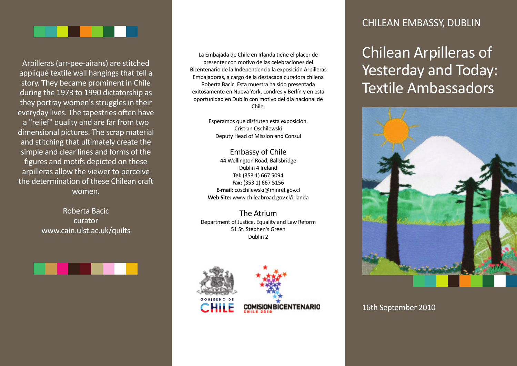

Arpilleras (arr-pee-airahs) are stitched appliqué textile wall hangings that tell a story. They became prominent in Chile during the 1973 to 1990 dictatorship as they portray women's struggles in their everyday lives. The tapestries often have a "relief" quality and are far from two dimensional pictures. The scrap material and stitching that ultimately create the simple and clear lines and forms of the figures and motifs depicted on these arpilleras allow the viewer to perceive the determination of these Chilean craft women.

> Roberta Bacic curator www.cain.ulst.ac.uk/quilts

#### La Embajada de Chile en Irlanda tiene el placer de presenter con motivo de las celebraciones del Bicentenario de la Independencia la exposición Arpilleras Embajadoras, a cargo de la destacada curadora chilena Roberta Bacic. Esta muestra ha sido presentada exitosamente en Nueva York, Londres y Berlín y en esta oportunidad en Dublín con motivo del dίa nacional de

Esperamos que disfruten esta exposición. Cristian Oschilewski Deputy Head of Mission and Consul

Chile.

#### Embassy of Chile 44 Wellington Road, Ballsbridge Dublin 4 Ireland **Tel:** (353 1) 667 5094 **Fax:** (353 1) 667 5156 **E-mail:** coschilewski@minrel.gov.cl **Web Site:** www.chileabroad.gov.cl/irlanda

The Atrium Department of Justice, Equality and Law Reform 51 St. Stephen's Green Dublin 2



### CHILEAN EMBASSY, DUBLIN

Chilean Arpilleras of Yesterday and Today: Textile Ambassadors



### 16th September 2010